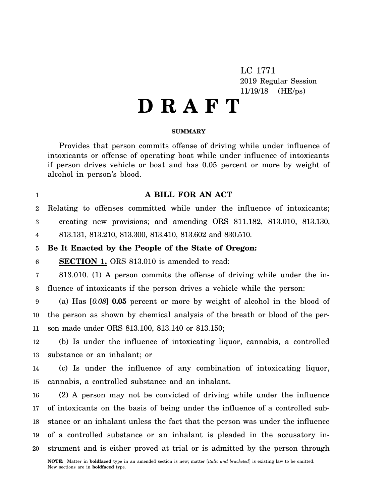LC 1771 2019 Regular Session 11/19/18 (HE/ps)

# **D R A F T**

#### **SUMMARY**

Provides that person commits offense of driving while under influence of intoxicants or offense of operating boat while under influence of intoxicants if person drives vehicle or boat and has 0.05 percent or more by weight of alcohol in person's blood.

## **A BILL FOR AN ACT**

 $\mathfrak{D}$ Relating to offenses committed while under the influence of intoxicants;

3 creating new provisions; and amending ORS 811.182, 813.010, 813.130,

4 813.131, 813.210, 813.300, 813.410, 813.602 and 830.510.

#### 5 **Be It Enacted by the People of the State of Oregon:**

6 **SECTION 1.** ORS 813.010 is amended to read:

1

7 8 813.010. (1) A person commits the offense of driving while under the influence of intoxicants if the person drives a vehicle while the person:

9 10 11 (a) Has [*0.08*] **0.05** percent or more by weight of alcohol in the blood of the person as shown by chemical analysis of the breath or blood of the person made under ORS 813.100, 813.140 or 813.150;

12 13 (b) Is under the influence of intoxicating liquor, cannabis, a controlled substance or an inhalant; or

14 15 (c) Is under the influence of any combination of intoxicating liquor, cannabis, a controlled substance and an inhalant.

16 17 18 19 20 (2) A person may not be convicted of driving while under the influence of intoxicants on the basis of being under the influence of a controlled substance or an inhalant unless the fact that the person was under the influence of a controlled substance or an inhalant is pleaded in the accusatory instrument and is either proved at trial or is admitted by the person through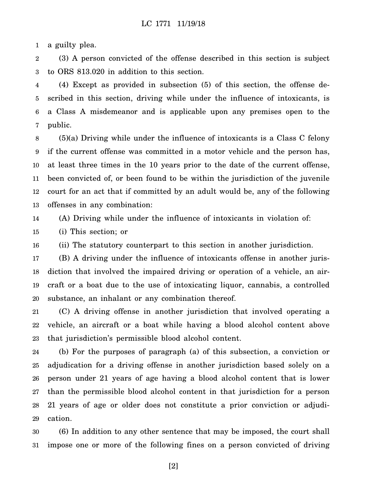1 a guilty plea.

2 3 (3) A person convicted of the offense described in this section is subject to ORS 813.020 in addition to this section.

4 5 6 7 (4) Except as provided in subsection (5) of this section, the offense described in this section, driving while under the influence of intoxicants, is a Class A misdemeanor and is applicable upon any premises open to the public.

8 9 10 11 12 13 (5)(a) Driving while under the influence of intoxicants is a Class C felony if the current offense was committed in a motor vehicle and the person has, at least three times in the 10 years prior to the date of the current offense, been convicted of, or been found to be within the jurisdiction of the juvenile court for an act that if committed by an adult would be, any of the following offenses in any combination:

14 (A) Driving while under the influence of intoxicants in violation of:

15 (i) This section; or

16 (ii) The statutory counterpart to this section in another jurisdiction.

17 18 19 20 (B) A driving under the influence of intoxicants offense in another jurisdiction that involved the impaired driving or operation of a vehicle, an aircraft or a boat due to the use of intoxicating liquor, cannabis, a controlled substance, an inhalant or any combination thereof.

21 22 23 (C) A driving offense in another jurisdiction that involved operating a vehicle, an aircraft or a boat while having a blood alcohol content above that jurisdiction's permissible blood alcohol content.

24 25 26 27 28 29 (b) For the purposes of paragraph (a) of this subsection, a conviction or adjudication for a driving offense in another jurisdiction based solely on a person under 21 years of age having a blood alcohol content that is lower than the permissible blood alcohol content in that jurisdiction for a person 21 years of age or older does not constitute a prior conviction or adjudication.

30 31 (6) In addition to any other sentence that may be imposed, the court shall impose one or more of the following fines on a person convicted of driving

[2]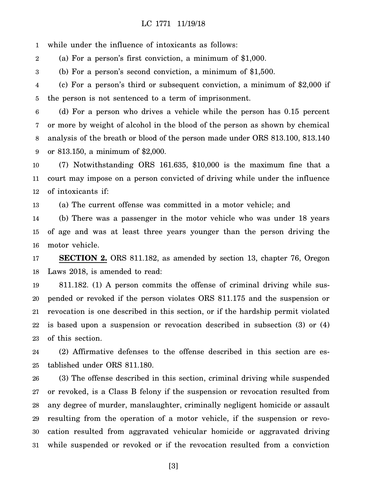1 while under the influence of intoxicants as follows:

2 (a) For a person's first conviction, a minimum of \$1,000.

3 (b) For a person's second conviction, a minimum of \$1,500.

4 5 (c) For a person's third or subsequent conviction, a minimum of \$2,000 if the person is not sentenced to a term of imprisonment.

6 7 8 9 (d) For a person who drives a vehicle while the person has 0.15 percent or more by weight of alcohol in the blood of the person as shown by chemical analysis of the breath or blood of the person made under ORS 813.100, 813.140 or 813.150, a minimum of \$2,000.

10 11 12 (7) Notwithstanding ORS 161.635, \$10,000 is the maximum fine that a court may impose on a person convicted of driving while under the influence of intoxicants if:

13 (a) The current offense was committed in a motor vehicle; and

14 15 16 (b) There was a passenger in the motor vehicle who was under 18 years of age and was at least three years younger than the person driving the motor vehicle.

17 18 **SECTION 2.** ORS 811.182, as amended by section 13, chapter 76, Oregon Laws 2018, is amended to read:

19 20 21 22 23 811.182. (1) A person commits the offense of criminal driving while suspended or revoked if the person violates ORS 811.175 and the suspension or revocation is one described in this section, or if the hardship permit violated is based upon a suspension or revocation described in subsection (3) or (4) of this section.

24 25 (2) Affirmative defenses to the offense described in this section are established under ORS 811.180.

26 27 28 29 30 31 (3) The offense described in this section, criminal driving while suspended or revoked, is a Class B felony if the suspension or revocation resulted from any degree of murder, manslaughter, criminally negligent homicide or assault resulting from the operation of a motor vehicle, if the suspension or revocation resulted from aggravated vehicular homicide or aggravated driving while suspended or revoked or if the revocation resulted from a conviction

[3]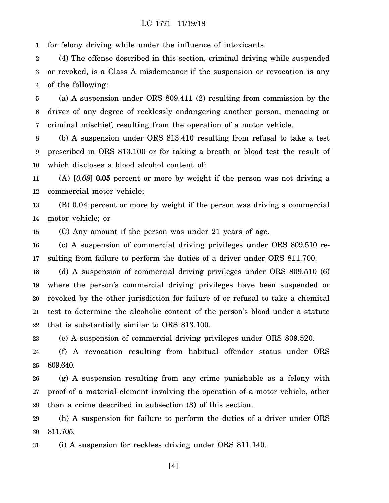1 for felony driving while under the influence of intoxicants.

2 3 4 (4) The offense described in this section, criminal driving while suspended or revoked, is a Class A misdemeanor if the suspension or revocation is any of the following:

5 6 7 (a) A suspension under ORS 809.411 (2) resulting from commission by the driver of any degree of recklessly endangering another person, menacing or criminal mischief, resulting from the operation of a motor vehicle.

8 9 10 (b) A suspension under ORS 813.410 resulting from refusal to take a test prescribed in ORS 813.100 or for taking a breath or blood test the result of which discloses a blood alcohol content of:

11 12 (A) [*0.08*] **0.05** percent or more by weight if the person was not driving a commercial motor vehicle;

13 14 (B) 0.04 percent or more by weight if the person was driving a commercial motor vehicle; or

15 (C) Any amount if the person was under 21 years of age.

16 17 (c) A suspension of commercial driving privileges under ORS 809.510 resulting from failure to perform the duties of a driver under ORS 811.700.

18 19 20 21 22 (d) A suspension of commercial driving privileges under ORS 809.510 (6) where the person's commercial driving privileges have been suspended or revoked by the other jurisdiction for failure of or refusal to take a chemical test to determine the alcoholic content of the person's blood under a statute that is substantially similar to ORS 813.100.

23 (e) A suspension of commercial driving privileges under ORS 809.520.

24 25 (f) A revocation resulting from habitual offender status under ORS 809.640.

26 27 28 (g) A suspension resulting from any crime punishable as a felony with proof of a material element involving the operation of a motor vehicle, other than a crime described in subsection (3) of this section.

29 30 (h) A suspension for failure to perform the duties of a driver under ORS 811.705.

31 (i) A suspension for reckless driving under ORS 811.140.

[4]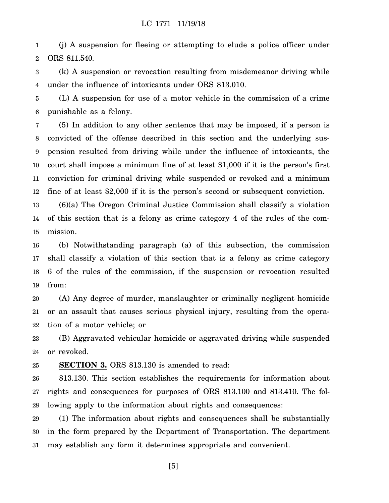1 2 (j) A suspension for fleeing or attempting to elude a police officer under ORS 811.540.

3 4 (k) A suspension or revocation resulting from misdemeanor driving while under the influence of intoxicants under ORS 813.010.

5 6 (L) A suspension for use of a motor vehicle in the commission of a crime punishable as a felony.

7 8 9 10 11 12 (5) In addition to any other sentence that may be imposed, if a person is convicted of the offense described in this section and the underlying suspension resulted from driving while under the influence of intoxicants, the court shall impose a minimum fine of at least \$1,000 if it is the person's first conviction for criminal driving while suspended or revoked and a minimum fine of at least \$2,000 if it is the person's second or subsequent conviction.

13 14 15 (6)(a) The Oregon Criminal Justice Commission shall classify a violation of this section that is a felony as crime category 4 of the rules of the commission.

16 17 18 19 (b) Notwithstanding paragraph (a) of this subsection, the commission shall classify a violation of this section that is a felony as crime category 6 of the rules of the commission, if the suspension or revocation resulted from:

20 21 22 (A) Any degree of murder, manslaughter or criminally negligent homicide or an assault that causes serious physical injury, resulting from the operation of a motor vehicle; or

23 24 (B) Aggravated vehicular homicide or aggravated driving while suspended or revoked.

25 **SECTION 3.** ORS 813.130 is amended to read:

26 27 28 813.130. This section establishes the requirements for information about rights and consequences for purposes of ORS 813.100 and 813.410. The following apply to the information about rights and consequences:

29 30 31 (1) The information about rights and consequences shall be substantially in the form prepared by the Department of Transportation. The department may establish any form it determines appropriate and convenient.

[5]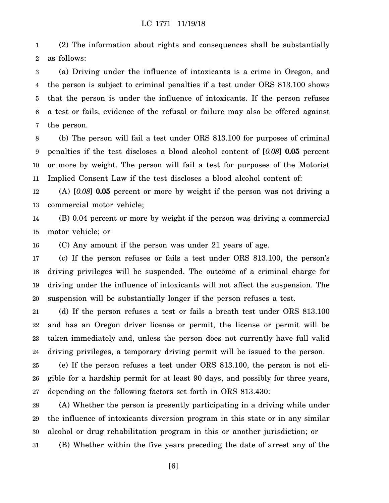1 2 (2) The information about rights and consequences shall be substantially as follows:

3 4 5 6 7 (a) Driving under the influence of intoxicants is a crime in Oregon, and the person is subject to criminal penalties if a test under ORS 813.100 shows that the person is under the influence of intoxicants. If the person refuses a test or fails, evidence of the refusal or failure may also be offered against the person.

8 9 10 11 (b) The person will fail a test under ORS 813.100 for purposes of criminal penalties if the test discloses a blood alcohol content of [*0.08*] **0.05** percent or more by weight. The person will fail a test for purposes of the Motorist Implied Consent Law if the test discloses a blood alcohol content of:

12 13 (A) [*0.08*] **0.05** percent or more by weight if the person was not driving a commercial motor vehicle;

14 15 (B) 0.04 percent or more by weight if the person was driving a commercial motor vehicle; or

16 (C) Any amount if the person was under 21 years of age.

17 18 19 20 (c) If the person refuses or fails a test under ORS 813.100, the person's driving privileges will be suspended. The outcome of a criminal charge for driving under the influence of intoxicants will not affect the suspension. The suspension will be substantially longer if the person refuses a test.

21 22 23 24 (d) If the person refuses a test or fails a breath test under ORS 813.100 and has an Oregon driver license or permit, the license or permit will be taken immediately and, unless the person does not currently have full valid driving privileges, a temporary driving permit will be issued to the person.

25 26 27 (e) If the person refuses a test under ORS 813.100, the person is not eligible for a hardship permit for at least 90 days, and possibly for three years, depending on the following factors set forth in ORS 813.430:

28 29 30 31 (A) Whether the person is presently participating in a driving while under the influence of intoxicants diversion program in this state or in any similar alcohol or drug rehabilitation program in this or another jurisdiction; or (B) Whether within the five years preceding the date of arrest any of the

[6]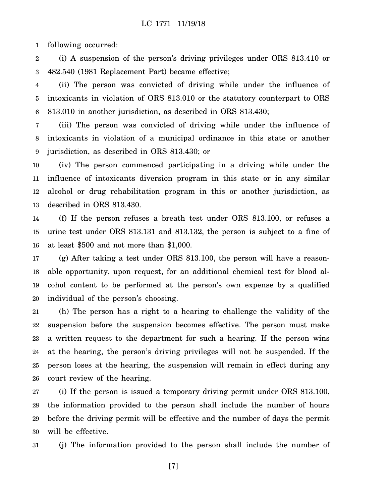1 following occurred:

2 3 (i) A suspension of the person's driving privileges under ORS 813.410 or 482.540 (1981 Replacement Part) became effective;

4 5 6 (ii) The person was convicted of driving while under the influence of intoxicants in violation of ORS 813.010 or the statutory counterpart to ORS 813.010 in another jurisdiction, as described in ORS 813.430;

7 8 9 (iii) The person was convicted of driving while under the influence of intoxicants in violation of a municipal ordinance in this state or another jurisdiction, as described in ORS 813.430; or

10 11 12 13 (iv) The person commenced participating in a driving while under the influence of intoxicants diversion program in this state or in any similar alcohol or drug rehabilitation program in this or another jurisdiction, as described in ORS 813.430.

14 15 16 (f) If the person refuses a breath test under ORS 813.100, or refuses a urine test under ORS 813.131 and 813.132, the person is subject to a fine of at least \$500 and not more than \$1,000.

17 18 19 20 (g) After taking a test under ORS 813.100, the person will have a reasonable opportunity, upon request, for an additional chemical test for blood alcohol content to be performed at the person's own expense by a qualified individual of the person's choosing.

21 22 23 24 25 26 (h) The person has a right to a hearing to challenge the validity of the suspension before the suspension becomes effective. The person must make a written request to the department for such a hearing. If the person wins at the hearing, the person's driving privileges will not be suspended. If the person loses at the hearing, the suspension will remain in effect during any court review of the hearing.

27 28 29 30 (i) If the person is issued a temporary driving permit under ORS 813.100, the information provided to the person shall include the number of hours before the driving permit will be effective and the number of days the permit will be effective.

31 (j) The information provided to the person shall include the number of

[7]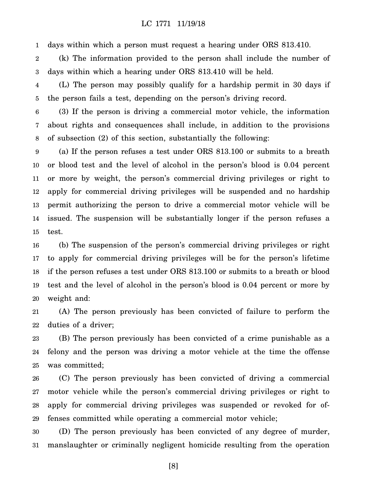1 days within which a person must request a hearing under ORS 813.410.

2 3 (k) The information provided to the person shall include the number of days within which a hearing under ORS 813.410 will be held.

4 5 (L) The person may possibly qualify for a hardship permit in 30 days if the person fails a test, depending on the person's driving record.

6 7 8 (3) If the person is driving a commercial motor vehicle, the information about rights and consequences shall include, in addition to the provisions of subsection (2) of this section, substantially the following:

9 10 11 12 13 14 15 (a) If the person refuses a test under ORS 813.100 or submits to a breath or blood test and the level of alcohol in the person's blood is 0.04 percent or more by weight, the person's commercial driving privileges or right to apply for commercial driving privileges will be suspended and no hardship permit authorizing the person to drive a commercial motor vehicle will be issued. The suspension will be substantially longer if the person refuses a test.

16 17 18 19 20 (b) The suspension of the person's commercial driving privileges or right to apply for commercial driving privileges will be for the person's lifetime if the person refuses a test under ORS 813.100 or submits to a breath or blood test and the level of alcohol in the person's blood is 0.04 percent or more by weight and:

21 22 (A) The person previously has been convicted of failure to perform the duties of a driver;

23 24 25 (B) The person previously has been convicted of a crime punishable as a felony and the person was driving a motor vehicle at the time the offense was committed;

26 27 28 29 (C) The person previously has been convicted of driving a commercial motor vehicle while the person's commercial driving privileges or right to apply for commercial driving privileges was suspended or revoked for offenses committed while operating a commercial motor vehicle;

30 31 (D) The person previously has been convicted of any degree of murder, manslaughter or criminally negligent homicide resulting from the operation

[8]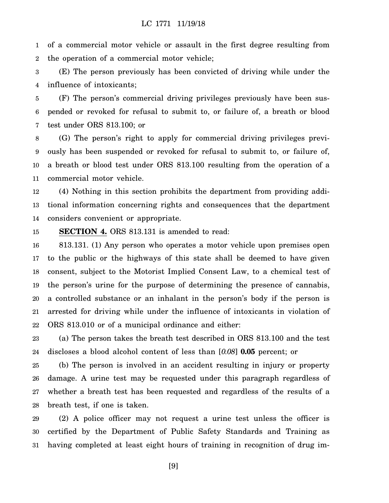1 2 of a commercial motor vehicle or assault in the first degree resulting from the operation of a commercial motor vehicle;

3 4 (E) The person previously has been convicted of driving while under the influence of intoxicants;

5 6 7 (F) The person's commercial driving privileges previously have been suspended or revoked for refusal to submit to, or failure of, a breath or blood test under ORS 813.100; or

8 9 10 11 (G) The person's right to apply for commercial driving privileges previously has been suspended or revoked for refusal to submit to, or failure of, a breath or blood test under ORS 813.100 resulting from the operation of a commercial motor vehicle.

12 13 14 (4) Nothing in this section prohibits the department from providing additional information concerning rights and consequences that the department considers convenient or appropriate.

15 **SECTION 4.** ORS 813.131 is amended to read:

16 17 18 19 20 21 22 813.131. (1) Any person who operates a motor vehicle upon premises open to the public or the highways of this state shall be deemed to have given consent, subject to the Motorist Implied Consent Law, to a chemical test of the person's urine for the purpose of determining the presence of cannabis, a controlled substance or an inhalant in the person's body if the person is arrested for driving while under the influence of intoxicants in violation of ORS 813.010 or of a municipal ordinance and either:

23 24 (a) The person takes the breath test described in ORS 813.100 and the test discloses a blood alcohol content of less than [*0.08*] **0.05** percent; or

25 26 27 28 (b) The person is involved in an accident resulting in injury or property damage. A urine test may be requested under this paragraph regardless of whether a breath test has been requested and regardless of the results of a breath test, if one is taken.

29 30 31 (2) A police officer may not request a urine test unless the officer is certified by the Department of Public Safety Standards and Training as having completed at least eight hours of training in recognition of drug im-

[9]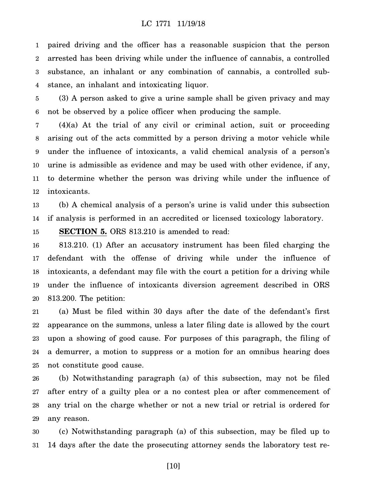1 2 3 4 paired driving and the officer has a reasonable suspicion that the person arrested has been driving while under the influence of cannabis, a controlled substance, an inhalant or any combination of cannabis, a controlled substance, an inhalant and intoxicating liquor.

5 6 (3) A person asked to give a urine sample shall be given privacy and may not be observed by a police officer when producing the sample.

7 8 9 10 11 12 (4)(a) At the trial of any civil or criminal action, suit or proceeding arising out of the acts committed by a person driving a motor vehicle while under the influence of intoxicants, a valid chemical analysis of a person's urine is admissible as evidence and may be used with other evidence, if any, to determine whether the person was driving while under the influence of intoxicants.

13 14 (b) A chemical analysis of a person's urine is valid under this subsection if analysis is performed in an accredited or licensed toxicology laboratory.

15 **SECTION 5.** ORS 813.210 is amended to read:

16 17 18 19 20 813.210. (1) After an accusatory instrument has been filed charging the defendant with the offense of driving while under the influence of intoxicants, a defendant may file with the court a petition for a driving while under the influence of intoxicants diversion agreement described in ORS 813.200. The petition:

21 22 23 24 25 (a) Must be filed within 30 days after the date of the defendant's first appearance on the summons, unless a later filing date is allowed by the court upon a showing of good cause. For purposes of this paragraph, the filing of a demurrer, a motion to suppress or a motion for an omnibus hearing does not constitute good cause.

26 27 28 29 (b) Notwithstanding paragraph (a) of this subsection, may not be filed after entry of a guilty plea or a no contest plea or after commencement of any trial on the charge whether or not a new trial or retrial is ordered for any reason.

30 31 (c) Notwithstanding paragraph (a) of this subsection, may be filed up to 14 days after the date the prosecuting attorney sends the laboratory test re-

[10]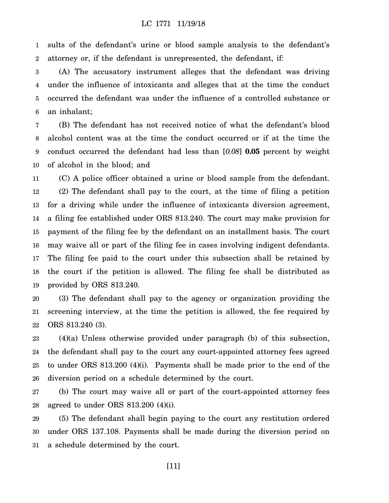1 2 sults of the defendant's urine or blood sample analysis to the defendant's attorney or, if the defendant is unrepresented, the defendant, if:

3 4 5 6 (A) The accusatory instrument alleges that the defendant was driving under the influence of intoxicants and alleges that at the time the conduct occurred the defendant was under the influence of a controlled substance or an inhalant;

7 8 9 10 (B) The defendant has not received notice of what the defendant's blood alcohol content was at the time the conduct occurred or if at the time the conduct occurred the defendant had less than [*0.08*] **0.05** percent by weight of alcohol in the blood; and

11 12 13 14 15 16 17 18 19 (C) A police officer obtained a urine or blood sample from the defendant. (2) The defendant shall pay to the court, at the time of filing a petition for a driving while under the influence of intoxicants diversion agreement, a filing fee established under ORS 813.240. The court may make provision for payment of the filing fee by the defendant on an installment basis. The court may waive all or part of the filing fee in cases involving indigent defendants. The filing fee paid to the court under this subsection shall be retained by the court if the petition is allowed. The filing fee shall be distributed as provided by ORS 813.240.

20 21 22 (3) The defendant shall pay to the agency or organization providing the screening interview, at the time the petition is allowed, the fee required by ORS 813.240 (3).

23 24 25 26 (4)(a) Unless otherwise provided under paragraph (b) of this subsection, the defendant shall pay to the court any court-appointed attorney fees agreed to under ORS 813.200 (4)(i). Payments shall be made prior to the end of the diversion period on a schedule determined by the court.

27 28 (b) The court may waive all or part of the court-appointed attorney fees agreed to under ORS 813.200 (4)(i).

29 30 31 (5) The defendant shall begin paying to the court any restitution ordered under ORS 137.108. Payments shall be made during the diversion period on a schedule determined by the court.

[11]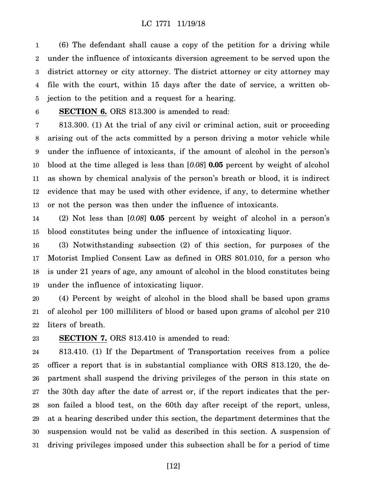1 2 3 4 5 (6) The defendant shall cause a copy of the petition for a driving while under the influence of intoxicants diversion agreement to be served upon the district attorney or city attorney. The district attorney or city attorney may file with the court, within 15 days after the date of service, a written objection to the petition and a request for a hearing.

#### 6

**SECTION 6.** ORS 813.300 is amended to read:

7 8 9 10 11 12 13 813.300. (1) At the trial of any civil or criminal action, suit or proceeding arising out of the acts committed by a person driving a motor vehicle while under the influence of intoxicants, if the amount of alcohol in the person's blood at the time alleged is less than [*0.08*] **0.05** percent by weight of alcohol as shown by chemical analysis of the person's breath or blood, it is indirect evidence that may be used with other evidence, if any, to determine whether or not the person was then under the influence of intoxicants.

14 15 (2) Not less than [*0.08*] **0.05** percent by weight of alcohol in a person's blood constitutes being under the influence of intoxicating liquor.

16 17 18 19 (3) Notwithstanding subsection (2) of this section, for purposes of the Motorist Implied Consent Law as defined in ORS 801.010, for a person who is under 21 years of age, any amount of alcohol in the blood constitutes being under the influence of intoxicating liquor.

20 21 22 (4) Percent by weight of alcohol in the blood shall be based upon grams of alcohol per 100 milliliters of blood or based upon grams of alcohol per 210 liters of breath.

23 **SECTION 7.** ORS 813.410 is amended to read:

24 25 26 27 28 29 30 31 813.410. (1) If the Department of Transportation receives from a police officer a report that is in substantial compliance with ORS 813.120, the department shall suspend the driving privileges of the person in this state on the 30th day after the date of arrest or, if the report indicates that the person failed a blood test, on the 60th day after receipt of the report, unless, at a hearing described under this section, the department determines that the suspension would not be valid as described in this section. A suspension of driving privileges imposed under this subsection shall be for a period of time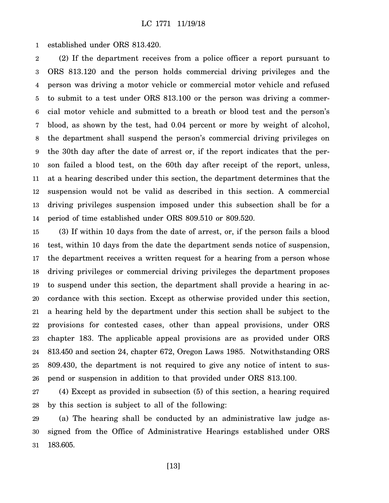1 established under ORS 813.420.

2 3 4 5 6 7 8 9 10 11 12 13 14 (2) If the department receives from a police officer a report pursuant to ORS 813.120 and the person holds commercial driving privileges and the person was driving a motor vehicle or commercial motor vehicle and refused to submit to a test under ORS 813.100 or the person was driving a commercial motor vehicle and submitted to a breath or blood test and the person's blood, as shown by the test, had 0.04 percent or more by weight of alcohol, the department shall suspend the person's commercial driving privileges on the 30th day after the date of arrest or, if the report indicates that the person failed a blood test, on the 60th day after receipt of the report, unless, at a hearing described under this section, the department determines that the suspension would not be valid as described in this section. A commercial driving privileges suspension imposed under this subsection shall be for a period of time established under ORS 809.510 or 809.520.

15 16 17 18 19 20 21 22 23 24 25 26 (3) If within 10 days from the date of arrest, or, if the person fails a blood test, within 10 days from the date the department sends notice of suspension, the department receives a written request for a hearing from a person whose driving privileges or commercial driving privileges the department proposes to suspend under this section, the department shall provide a hearing in accordance with this section. Except as otherwise provided under this section, a hearing held by the department under this section shall be subject to the provisions for contested cases, other than appeal provisions, under ORS chapter 183. The applicable appeal provisions are as provided under ORS 813.450 and section 24, chapter 672, Oregon Laws 1985. Notwithstanding ORS 809.430, the department is not required to give any notice of intent to suspend or suspension in addition to that provided under ORS 813.100.

27 28 (4) Except as provided in subsection (5) of this section, a hearing required by this section is subject to all of the following:

29 30 31 (a) The hearing shall be conducted by an administrative law judge assigned from the Office of Administrative Hearings established under ORS 183.605.

[13]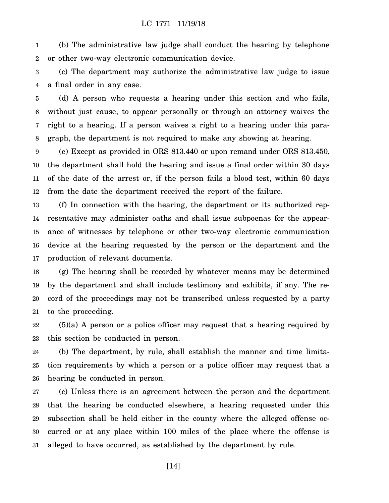1 2 (b) The administrative law judge shall conduct the hearing by telephone or other two-way electronic communication device.

3 4 (c) The department may authorize the administrative law judge to issue a final order in any case.

5 6 7 8 (d) A person who requests a hearing under this section and who fails, without just cause, to appear personally or through an attorney waives the right to a hearing. If a person waives a right to a hearing under this paragraph, the department is not required to make any showing at hearing.

9 10 11 12 (e) Except as provided in ORS 813.440 or upon remand under ORS 813.450, the department shall hold the hearing and issue a final order within 30 days of the date of the arrest or, if the person fails a blood test, within 60 days from the date the department received the report of the failure.

13 14 15 16 17 (f) In connection with the hearing, the department or its authorized representative may administer oaths and shall issue subpoenas for the appearance of witnesses by telephone or other two-way electronic communication device at the hearing requested by the person or the department and the production of relevant documents.

18 19 20 21 (g) The hearing shall be recorded by whatever means may be determined by the department and shall include testimony and exhibits, if any. The record of the proceedings may not be transcribed unless requested by a party to the proceeding.

22 23 (5)(a) A person or a police officer may request that a hearing required by this section be conducted in person.

24 25 26 (b) The department, by rule, shall establish the manner and time limitation requirements by which a person or a police officer may request that a hearing be conducted in person.

27 28 29 30 31 (c) Unless there is an agreement between the person and the department that the hearing be conducted elsewhere, a hearing requested under this subsection shall be held either in the county where the alleged offense occurred or at any place within 100 miles of the place where the offense is alleged to have occurred, as established by the department by rule.

[14]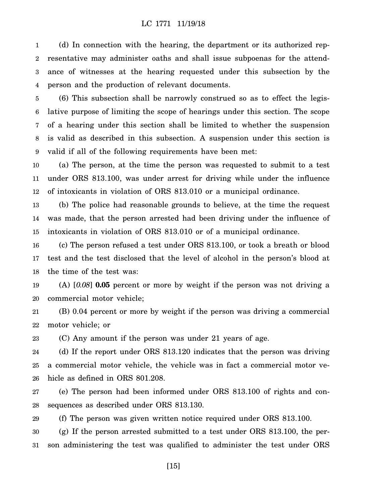1 2 3 4 (d) In connection with the hearing, the department or its authorized representative may administer oaths and shall issue subpoenas for the attendance of witnesses at the hearing requested under this subsection by the person and the production of relevant documents.

5 6 7 8 9 (6) This subsection shall be narrowly construed so as to effect the legislative purpose of limiting the scope of hearings under this section. The scope of a hearing under this section shall be limited to whether the suspension is valid as described in this subsection. A suspension under this section is valid if all of the following requirements have been met:

10 11 12 (a) The person, at the time the person was requested to submit to a test under ORS 813.100, was under arrest for driving while under the influence of intoxicants in violation of ORS 813.010 or a municipal ordinance.

13 14 15 (b) The police had reasonable grounds to believe, at the time the request was made, that the person arrested had been driving under the influence of intoxicants in violation of ORS 813.010 or of a municipal ordinance.

16 17 18 (c) The person refused a test under ORS 813.100, or took a breath or blood test and the test disclosed that the level of alcohol in the person's blood at the time of the test was:

19 20 (A) [*0.08*] **0.05** percent or more by weight if the person was not driving a commercial motor vehicle;

21 22 (B) 0.04 percent or more by weight if the person was driving a commercial motor vehicle; or

23 (C) Any amount if the person was under 21 years of age.

24 25 26 (d) If the report under ORS 813.120 indicates that the person was driving a commercial motor vehicle, the vehicle was in fact a commercial motor vehicle as defined in ORS 801.208.

27 28 (e) The person had been informed under ORS 813.100 of rights and consequences as described under ORS 813.130.

29 (f) The person was given written notice required under ORS 813.100.

30 31 (g) If the person arrested submitted to a test under ORS 813.100, the person administering the test was qualified to administer the test under ORS

[15]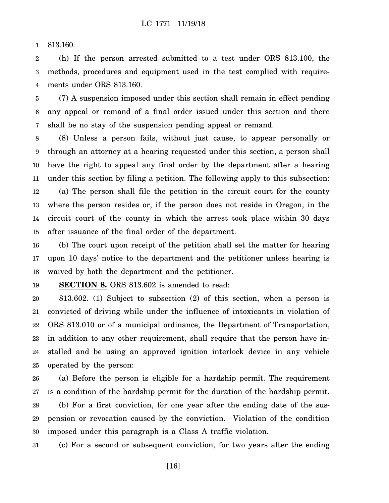1 813.160.

2 3 4 (h) If the person arrested submitted to a test under ORS 813.100, the methods, procedures and equipment used in the test complied with requirements under ORS 813.160.

5 6 7 (7) A suspension imposed under this section shall remain in effect pending any appeal or remand of a final order issued under this section and there shall be no stay of the suspension pending appeal or remand.

8 9 10 11 12 13 14 15 (8) Unless a person fails, without just cause, to appear personally or through an attorney at a hearing requested under this section, a person shall have the right to appeal any final order by the department after a hearing under this section by filing a petition. The following apply to this subsection: (a) The person shall file the petition in the circuit court for the county where the person resides or, if the person does not reside in Oregon, in the circuit court of the county in which the arrest took place within 30 days after issuance of the final order of the department.

16 17 18 (b) The court upon receipt of the petition shall set the matter for hearing upon 10 days' notice to the department and the petitioner unless hearing is waived by both the department and the petitioner.

19 **SECTION 8.** ORS 813.602 is amended to read:

20 21 22 23 24 25 813.602. (1) Subject to subsection (2) of this section, when a person is convicted of driving while under the influence of intoxicants in violation of ORS 813.010 or of a municipal ordinance, the Department of Transportation, in addition to any other requirement, shall require that the person have installed and be using an approved ignition interlock device in any vehicle operated by the person:

26 27 28 29 30 (a) Before the person is eligible for a hardship permit. The requirement is a condition of the hardship permit for the duration of the hardship permit. (b) For a first conviction, for one year after the ending date of the suspension or revocation caused by the conviction. Violation of the condition imposed under this paragraph is a Class A traffic violation.

31 (c) For a second or subsequent conviction, for two years after the ending

[16]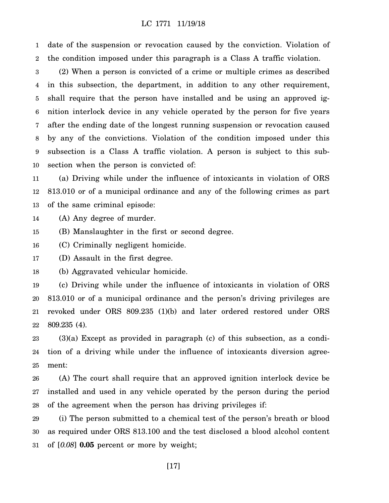1 2 date of the suspension or revocation caused by the conviction. Violation of the condition imposed under this paragraph is a Class A traffic violation.

3 4 5 6 7 8 9 10 (2) When a person is convicted of a crime or multiple crimes as described in this subsection, the department, in addition to any other requirement, shall require that the person have installed and be using an approved ignition interlock device in any vehicle operated by the person for five years after the ending date of the longest running suspension or revocation caused by any of the convictions. Violation of the condition imposed under this subsection is a Class A traffic violation. A person is subject to this subsection when the person is convicted of:

11 12 13 (a) Driving while under the influence of intoxicants in violation of ORS 813.010 or of a municipal ordinance and any of the following crimes as part of the same criminal episode:

14 (A) Any degree of murder.

15 (B) Manslaughter in the first or second degree.

16 (C) Criminally negligent homicide.

17 (D) Assault in the first degree.

18 (b) Aggravated vehicular homicide.

19 20 21 22 (c) Driving while under the influence of intoxicants in violation of ORS 813.010 or of a municipal ordinance and the person's driving privileges are revoked under ORS 809.235 (1)(b) and later ordered restored under ORS 809.235 (4).

23 24 25 (3)(a) Except as provided in paragraph (c) of this subsection, as a condition of a driving while under the influence of intoxicants diversion agreement:

26 27 28 (A) The court shall require that an approved ignition interlock device be installed and used in any vehicle operated by the person during the period of the agreement when the person has driving privileges if:

29 30 31 (i) The person submitted to a chemical test of the person's breath or blood as required under ORS 813.100 and the test disclosed a blood alcohol content of [*0.08*] **0.05** percent or more by weight;

[17]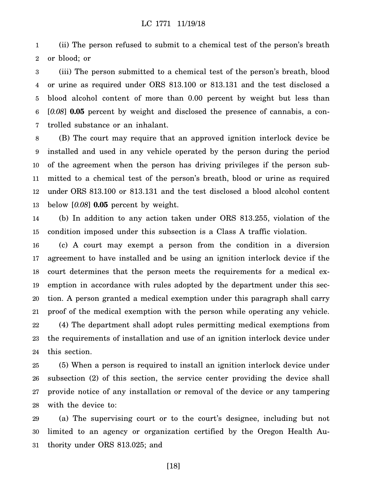1 2 (ii) The person refused to submit to a chemical test of the person's breath or blood; or

3 4 5 6 7 (iii) The person submitted to a chemical test of the person's breath, blood or urine as required under ORS 813.100 or 813.131 and the test disclosed a blood alcohol content of more than 0.00 percent by weight but less than [*0.08*] **0.05** percent by weight and disclosed the presence of cannabis, a controlled substance or an inhalant.

8 9 10 11 12 13 (B) The court may require that an approved ignition interlock device be installed and used in any vehicle operated by the person during the period of the agreement when the person has driving privileges if the person submitted to a chemical test of the person's breath, blood or urine as required under ORS 813.100 or 813.131 and the test disclosed a blood alcohol content below [*0.08*] **0.05** percent by weight.

14 15 (b) In addition to any action taken under ORS 813.255, violation of the condition imposed under this subsection is a Class A traffic violation.

16 17 18 19 20 21 22 23 24 (c) A court may exempt a person from the condition in a diversion agreement to have installed and be using an ignition interlock device if the court determines that the person meets the requirements for a medical exemption in accordance with rules adopted by the department under this section. A person granted a medical exemption under this paragraph shall carry proof of the medical exemption with the person while operating any vehicle. (4) The department shall adopt rules permitting medical exemptions from the requirements of installation and use of an ignition interlock device under this section.

25 26 27 28 (5) When a person is required to install an ignition interlock device under subsection (2) of this section, the service center providing the device shall provide notice of any installation or removal of the device or any tampering with the device to:

29 30 31 (a) The supervising court or to the court's designee, including but not limited to an agency or organization certified by the Oregon Health Authority under ORS 813.025; and

[18]